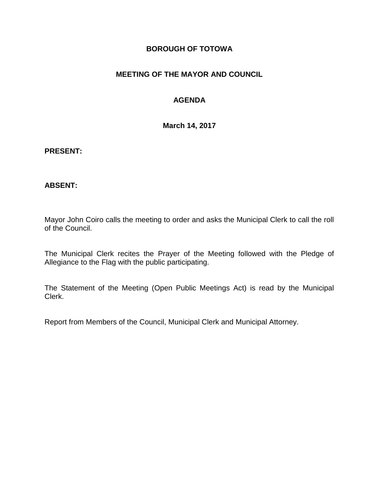### **BOROUGH OF TOTOWA**

## **MEETING OF THE MAYOR AND COUNCIL**

## **AGENDA**

**March 14, 2017**

#### **PRESENT:**

### **ABSENT:**

Mayor John Coiro calls the meeting to order and asks the Municipal Clerk to call the roll of the Council.

The Municipal Clerk recites the Prayer of the Meeting followed with the Pledge of Allegiance to the Flag with the public participating.

The Statement of the Meeting (Open Public Meetings Act) is read by the Municipal Clerk.

Report from Members of the Council, Municipal Clerk and Municipal Attorney.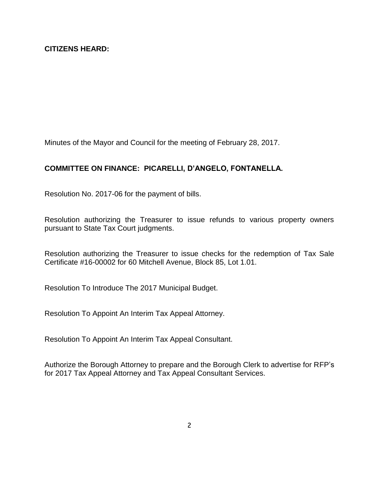Minutes of the Mayor and Council for the meeting of February 28, 2017.

# **COMMITTEE ON FINANCE: PICARELLI, D'ANGELO, FONTANELLA.**

Resolution No. 2017-06 for the payment of bills.

Resolution authorizing the Treasurer to issue refunds to various property owners pursuant to State Tax Court judgments.

Resolution authorizing the Treasurer to issue checks for the redemption of Tax Sale Certificate #16-00002 for 60 Mitchell Avenue, Block 85, Lot 1.01.

Resolution To Introduce The 2017 Municipal Budget.

Resolution To Appoint An Interim Tax Appeal Attorney.

Resolution To Appoint An Interim Tax Appeal Consultant.

Authorize the Borough Attorney to prepare and the Borough Clerk to advertise for RFP's for 2017 Tax Appeal Attorney and Tax Appeal Consultant Services.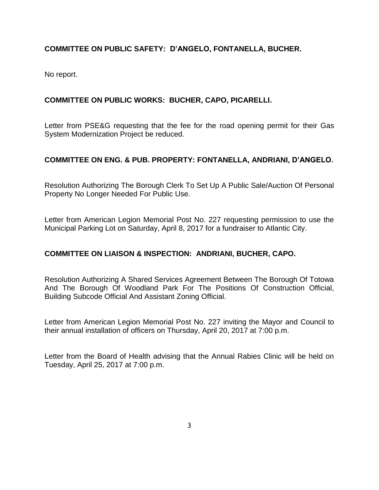# **COMMITTEE ON PUBLIC SAFETY: D'ANGELO, FONTANELLA, BUCHER.**

No report.

## **COMMITTEE ON PUBLIC WORKS: BUCHER, CAPO, PICARELLI.**

Letter from PSE&G requesting that the fee for the road opening permit for their Gas System Modernization Project be reduced.

## **COMMITTEE ON ENG. & PUB. PROPERTY: FONTANELLA, ANDRIANI, D'ANGELO.**

Resolution Authorizing The Borough Clerk To Set Up A Public Sale/Auction Of Personal Property No Longer Needed For Public Use.

Letter from American Legion Memorial Post No. 227 requesting permission to use the Municipal Parking Lot on Saturday, April 8, 2017 for a fundraiser to Atlantic City.

## **COMMITTEE ON LIAISON & INSPECTION: ANDRIANI, BUCHER, CAPO.**

Resolution Authorizing A Shared Services Agreement Between The Borough Of Totowa And The Borough Of Woodland Park For The Positions Of Construction Official, Building Subcode Official And Assistant Zoning Official.

Letter from American Legion Memorial Post No. 227 inviting the Mayor and Council to their annual installation of officers on Thursday, April 20, 2017 at 7:00 p.m.

Letter from the Board of Health advising that the Annual Rabies Clinic will be held on Tuesday, April 25, 2017 at 7:00 p.m.